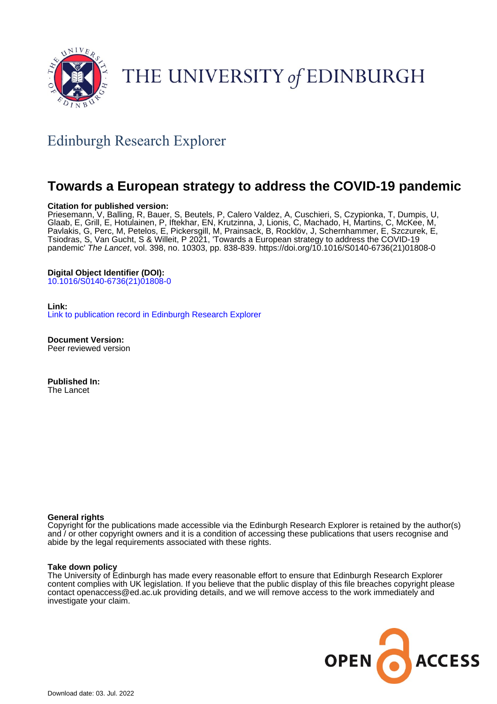

## THE UNIVERSITY of EDINBURGH

### Edinburgh Research Explorer

### **Towards a European strategy to address the COVID-19 pandemic**

### **Citation for published version:**

Priesemann, V, Balling, R, Bauer, S, Beutels, P, Calero Valdez, A, Cuschieri, S, Czypionka, T, Dumpis, U, Glaab, E, Grill, E, Hotulainen, P, Iftekhar, EN, Krutzinna, J, Lionis, C, Machado, H, Martins, C, McKee, M, Pavlakis, G, Perc, M, Petelos, E, Pickersgill, M, Prainsack, B, Rocklöv, J, Schernhammer, E, Szczurek, E, Tsiodras, S, Van Gucht, S & Willeit, P 2021, 'Towards a European strategy to address the COVID-19 pandemic' The Lancet, vol. 398, no. 10303, pp. 838-839. [https://doi.org/10.1016/S0140-6736\(21\)01808-0](https://doi.org/10.1016/S0140-6736(21)01808-0)

### **Digital Object Identifier (DOI):**

[10.1016/S0140-6736\(21\)01808-0](https://doi.org/10.1016/S0140-6736(21)01808-0)

**Link:** [Link to publication record in Edinburgh Research Explorer](https://www.research.ed.ac.uk/en/publications/716c8ed4-a77d-4f65-879d-daf144dea2d7)

**Document Version:** Peer reviewed version

**Published In:** The Lancet

### **General rights**

Copyright for the publications made accessible via the Edinburgh Research Explorer is retained by the author(s) and / or other copyright owners and it is a condition of accessing these publications that users recognise and abide by the legal requirements associated with these rights.

#### **Take down policy**

The University of Edinburgh has made every reasonable effort to ensure that Edinburgh Research Explorer content complies with UK legislation. If you believe that the public display of this file breaches copyright please contact openaccess@ed.ac.uk providing details, and we will remove access to the work immediately and investigate your claim.

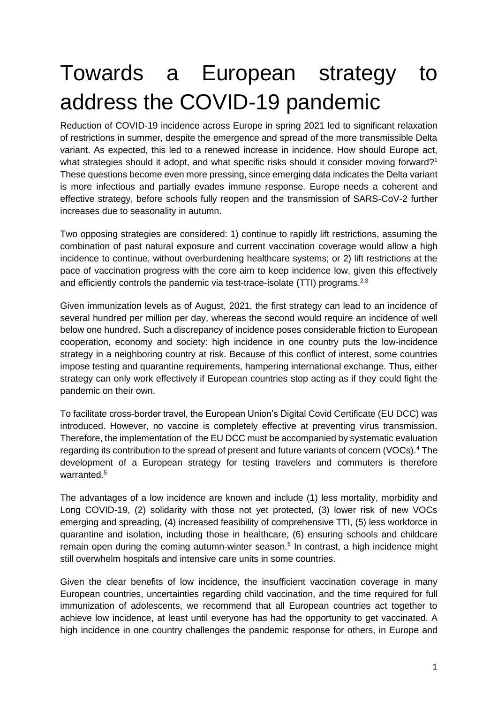# Towards a European strategy to address the COVID-19 pandemic

Reduction of COVID-19 incidence across Europe in spring 2021 led to significant relaxation of restrictions in summer, despite the emergence and spread of the more transmissible Delta variant. As expected, this led to a renewed increase in incidence. How should Europe act, what strategies should it adopt, and what specific risks should it consider moving forward?<sup>1</sup> These questions become even more pressing, since emerging data indicates the Delta variant is more infectious and partially evades immune response. Europe needs a coherent and effective strategy, before schools fully reopen and the transmission of SARS-CoV-2 further increases due to seasonality in autumn.

Two opposing strategies are considered: 1) continue to rapidly lift restrictions, assuming the combination of past natural exposure and current vaccination coverage would allow a high incidence to continue, without overburdening healthcare systems; or 2) lift restrictions at the pace of vaccination progress with the core aim to keep incidence low, given this effectively and efficiently controls the pandemic via test-trace-isolate (TTI) programs.<sup>2,3</sup>

Given immunization levels as of August, 2021, the first strategy can lead to an incidence of several hundred per million per day, whereas the second would require an incidence of well below one hundred. Such a discrepancy of incidence poses considerable friction to European cooperation, economy and society: high incidence in one country puts the low-incidence strategy in a neighboring country at risk. Because of this conflict of interest, some countries impose testing and quarantine requirements, hampering international exchange. Thus, either strategy can only work effectively if European countries stop acting as if they could fight the pandemic on their own.

To facilitate cross-border travel, the European Union's Digital Covid Certificate (EU DCC) was introduced. However, no vaccine is completely effective at preventing virus transmission. Therefore, the implementation of the EU DCC must be accompanied by systematic evaluation regarding its contribution to the spread of present and future variants of concern (VOCs).<sup>4</sup> The development of a European strategy for testing travelers and commuters is therefore warranted.<sup>5</sup>

The advantages of a low incidence are known and include (1) less mortality, morbidity and Long COVID-19, (2) solidarity with those not yet protected, (3) lower risk of new VOCs emerging and spreading, (4) increased feasibility of comprehensive TTI, (5) less workforce in quarantine and isolation, including those in healthcare, (6) ensuring schools and childcare remain open during the coming autumn-winter season.<sup>6</sup> In contrast, a high incidence might still overwhelm hospitals and intensive care units in some countries.

Given the clear benefits of low incidence, the insufficient vaccination coverage in many European countries, uncertainties regarding child vaccination, and the time required for full immunization of adolescents, we recommend that all European countries act together to achieve low incidence, at least until everyone has had the opportunity to get vaccinated. A high incidence in one country challenges the pandemic response for others, in Europe and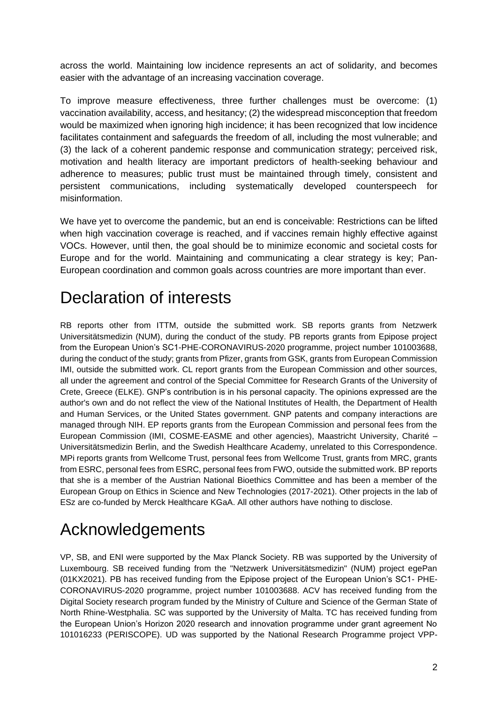across the world. Maintaining low incidence represents an act of solidarity, and becomes easier with the advantage of an increasing vaccination coverage.

To improve measure effectiveness, three further challenges must be overcome: (1) vaccination availability, access, and hesitancy; (2) the widespread misconception that freedom would be maximized when ignoring high incidence; it has been recognized that low incidence facilitates containment and safeguards the freedom of all, including the most vulnerable; and (3) the lack of a coherent pandemic response and communication strategy; perceived risk, motivation and health literacy are important predictors of health-seeking behaviour and adherence to measures; public trust must be maintained through timely, consistent and persistent communications, including systematically developed counterspeech for misinformation.

We have yet to overcome the pandemic, but an end is conceivable: Restrictions can be lifted when high vaccination coverage is reached, and if vaccines remain highly effective against VOCs. However, until then, the goal should be to minimize economic and societal costs for Europe and for the world. Maintaining and communicating a clear strategy is key; Pan-European coordination and common goals across countries are more important than ever.

## Declaration of interests

RB reports other from ITTM, outside the submitted work. SB reports grants from Netzwerk Universitätsmedizin (NUM), during the conduct of the study. PB reports grants from Epipose project from the European Union's SC1-PHE-CORONAVIRUS-2020 programme, project number 101003688, during the conduct of the study; grants from Pfizer, grants from GSK, grants from European Commission IMI, outside the submitted work. CL report grants from the European Commission and other sources, all under the agreement and control of the Special Committee for Research Grants of the University of Crete, Greece (ELKE). GNP's contribution is in his personal capacity. The opinions expressed are the author's own and do not reflect the view of the National Institutes of Health, the Department of Health and Human Services, or the United States government. GNP patents and company interactions are managed through NIH. EP reports grants from the European Commission and personal fees from the European Commission (IMI, COSME-EASME and other agencies), Maastricht University, Charité – Universitätsmedizin Berlin, and the Swedish Healthcare Academy, unrelated to this Correspondence. MPi reports grants from Wellcome Trust, personal fees from Wellcome Trust, grants from MRC, grants from ESRC, personal fees from ESRC, personal fees from FWO, outside the submitted work. BP reports that she is a member of the Austrian National Bioethics Committee and has been a member of the European Group on Ethics in Science and New Technologies (2017-2021). Other projects in the lab of ESz are co-funded by Merck Healthcare KGaA. All other authors have nothing to disclose.

## Acknowledgements

VP, SB, and ENI were supported by the Max Planck Society. RB was supported by the University of Luxembourg. SB received funding from the "Netzwerk Universitätsmedizin" (NUM) project egePan (01KX2021). PB has received funding from the Epipose project of the European Union's SC1- PHE-CORONAVIRUS-2020 programme, project number 101003688. ACV has received funding from the Digital Society research program funded by the Ministry of Culture and Science of the German State of North Rhine-Westphalia. SC was supported by the University of Malta. TC has received funding from the European Union's Horizon 2020 research and innovation programme under grant agreement No 101016233 (PERISCOPE). UD was supported by the National Research Programme project VPP-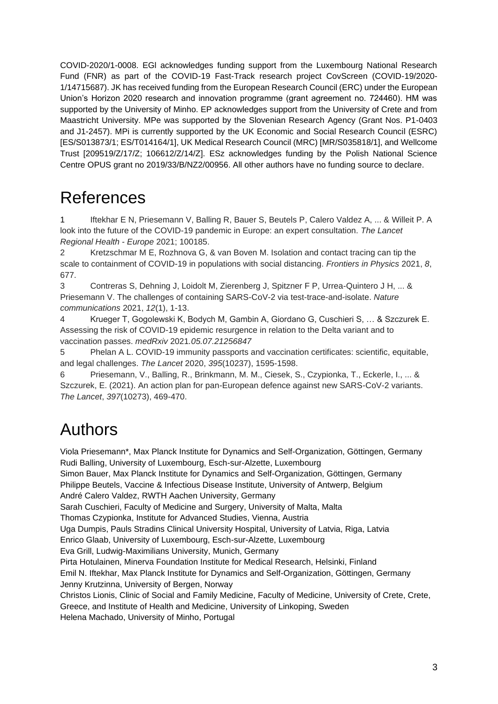COVID-2020/1-0008. EGl acknowledges funding support from the Luxembourg National Research Fund (FNR) as part of the COVID-19 Fast-Track research project CovScreen (COVID-19/2020- 1/14715687). JK has received funding from the European Research Council (ERC) under the European Union's Horizon 2020 research and innovation programme (grant agreement no. 724460). HM was supported by the University of Minho. EP acknowledges support from the University of Crete and from Maastricht University. MPe was supported by the Slovenian Research Agency (Grant Nos. P1-0403 and J1-2457). MPi is currently supported by the UK Economic and Social Research Council (ESRC) [ES/S013873/1; ES/T014164/1], UK Medical Research Council (MRC) [MR/S035818/1], and Wellcome Trust [209519/Z/17/Z; 106612/Z/14/Z]. ESz acknowledges funding by the Polish National Science Centre OPUS grant no 2019/33/B/NZ2/00956. All other authors have no funding source to declare.

## References

1 Iftekhar E N, Priesemann V, Balling R, Bauer S, Beutels P, Calero Valdez A, ... & Willeit P. A look into the future of the COVID-19 pandemic in Europe: an expert consultation. *The Lancet Regional Health - Europe* 2021; 100185.

2 Kretzschmar M E, Rozhnova G, & van Boven M. Isolation and contact tracing can tip the scale to containment of COVID-19 in populations with social distancing. *Frontiers in Physics* 2021, *8*, 677.

3 Contreras S, Dehning J, Loidolt M, Zierenberg J, Spitzner F P, Urrea-Quintero J H, ... & Priesemann V. The challenges of containing SARS-CoV-2 via test-trace-and-isolate. *Nature communications* 2021, *12*(1), 1-13.

4 Krueger T, Gogolewski K, Bodych M, Gambin A, Giordano G, Cuschieri S, … & Szczurek E. Assessing the risk of COVID-19 epidemic resurgence in relation to the Delta variant and to vaccination passes. *medRxiv* 2021*.05.07.21256847*

5 Phelan A L. COVID-19 immunity passports and vaccination certificates: scientific, equitable, and legal challenges. *The Lancet* 2020, *395*(10237), 1595-1598.

6 Priesemann, V., Balling, R., Brinkmann, M. M., Ciesek, S., Czypionka, T., Eckerle, I., ... & Szczurek, E. (2021). An action plan for pan-European defence against new SARS-CoV-2 variants. *The Lancet*, *397*(10273), 469-470.

## Authors

Viola Priesemann\*, Max Planck Institute for Dynamics and Self-Organization, Göttingen, Germany Rudi Balling, University of Luxembourg, Esch-sur-Alzette, Luxembourg

Simon Bauer, Max Planck Institute for Dynamics and Self-Organization, Göttingen, Germany Philippe Beutels, Vaccine & Infectious Disease Institute, University of Antwerp, Belgium

André Calero Valdez, RWTH Aachen University, Germany

Sarah Cuschieri, Faculty of Medicine and Surgery, University of Malta, Malta

Thomas Czypionka, Institute for Advanced Studies, Vienna, Austria

Uga Dumpis, Pauls Stradins Clinical University Hospital, University of Latvia, Riga, Latvia

Enrico Glaab, University of Luxembourg, Esch-sur-Alzette, Luxembourg

Eva Grill, Ludwig-Maximilians University, Munich, Germany

Pirta Hotulainen, Minerva Foundation Institute for Medical Research, Helsinki, Finland

Emil N. Iftekhar, Max Planck Institute for Dynamics and Self-Organization, Göttingen, Germany Jenny Krutzinna, University of Bergen, Norway

Christos Lionis, Clinic of Social and Family Medicine, Faculty of Medicine, University of Crete, Crete,

Greece, and Institute of Health and Medicine, University of Linkoping, Sweden

Helena Machado, University of Minho, Portugal